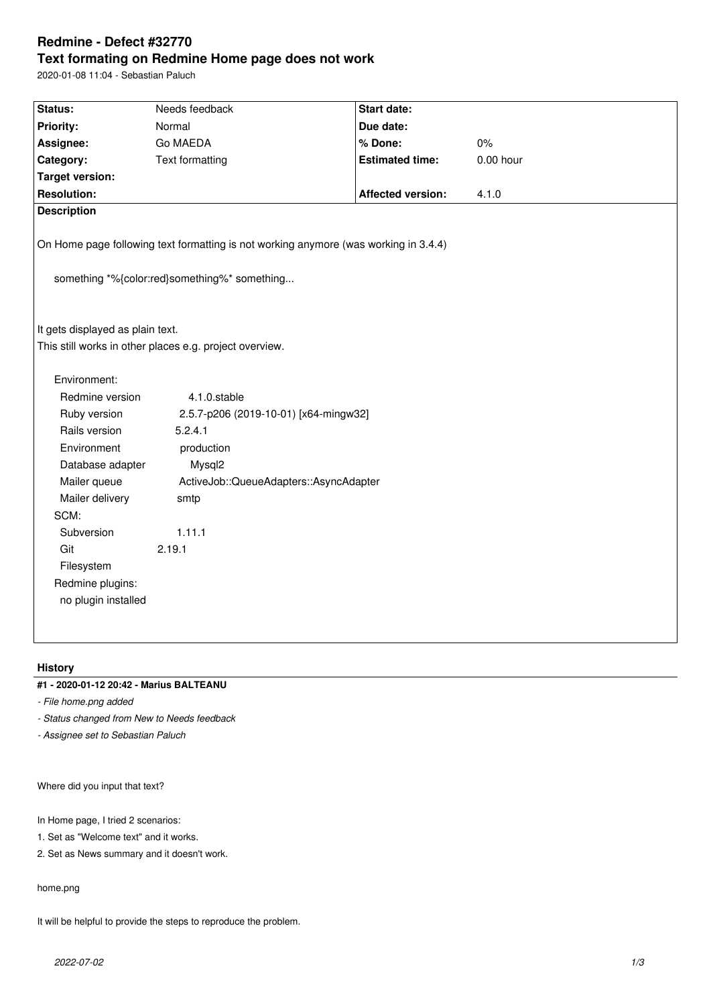# **Redmine - Defect #32770 Text formating on Redmine Home page does not work**

2020-01-08 11:04 - Sebastian Paluch

| Status:                                                                                                                              | Needs feedback                         | Start date:              |             |  |  |
|--------------------------------------------------------------------------------------------------------------------------------------|----------------------------------------|--------------------------|-------------|--|--|
| Priority:                                                                                                                            | Normal                                 | Due date:                |             |  |  |
| Assignee:                                                                                                                            | Go MAEDA                               | % Done:                  | $0\%$       |  |  |
| Category:                                                                                                                            | <b>Text formatting</b>                 | <b>Estimated time:</b>   | $0.00$ hour |  |  |
| <b>Target version:</b>                                                                                                               |                                        |                          |             |  |  |
| <b>Resolution:</b>                                                                                                                   |                                        | <b>Affected version:</b> | 4.1.0       |  |  |
| <b>Description</b>                                                                                                                   |                                        |                          |             |  |  |
| On Home page following text formatting is not working anymore (was working in 3.4.4)<br>something *%{color:red}something%* something |                                        |                          |             |  |  |
| It gets displayed as plain text.<br>This still works in other places e.g. project overview.                                          |                                        |                          |             |  |  |
| Environment:                                                                                                                         |                                        |                          |             |  |  |
| Redmine version                                                                                                                      | 4.1.0.stable                           |                          |             |  |  |
| Ruby version                                                                                                                         | 2.5.7-p206 (2019-10-01) [x64-mingw32]  |                          |             |  |  |
| Rails version                                                                                                                        | 5.2.4.1                                |                          |             |  |  |
| Environment                                                                                                                          | production                             |                          |             |  |  |
| Database adapter                                                                                                                     | Mysql2                                 |                          |             |  |  |
| Mailer queue                                                                                                                         | ActiveJob::QueueAdapters::AsyncAdapter |                          |             |  |  |
| Mailer delivery                                                                                                                      | smtp                                   |                          |             |  |  |
| SCM:                                                                                                                                 |                                        |                          |             |  |  |
| Subversion                                                                                                                           | 1.11.1                                 |                          |             |  |  |
| Git                                                                                                                                  | 2.19.1                                 |                          |             |  |  |
| Filesystem                                                                                                                           |                                        |                          |             |  |  |
| Redmine plugins:                                                                                                                     |                                        |                          |             |  |  |
| no plugin installed                                                                                                                  |                                        |                          |             |  |  |
|                                                                                                                                      |                                        |                          |             |  |  |
|                                                                                                                                      |                                        |                          |             |  |  |
|                                                                                                                                      |                                        |                          |             |  |  |

# **History**

# **#1 - 2020-01-12 20:42 - Marius BALTEANU**

*- File home.png added*

*- Status changed from New to Needs feedback*

*- Assignee set to Sebastian Paluch*

Where did you input that text?

In Home page, I tried 2 scenarios:

1. Set as "Welcome text" and it works.

2. Set as News summary and it doesn't work.

home.png

It will be helpful to provide the steps to reproduce the problem.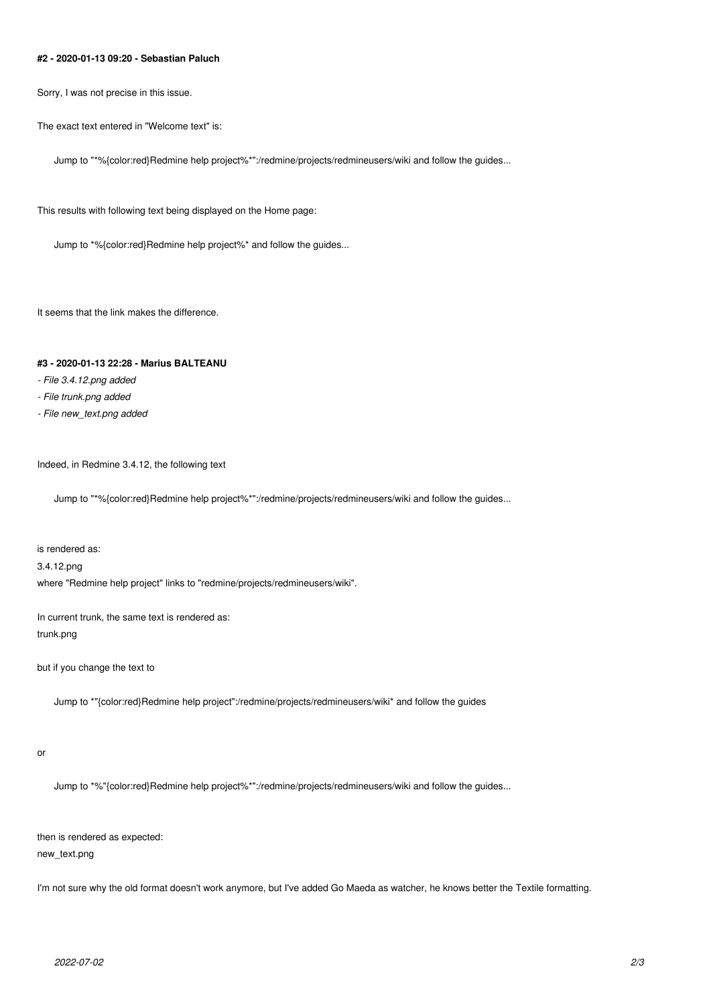#### **#2 - 2020-01-13 09:20 - Sebastian Paluch**

Sorry, I was not precise in this issue.

The exact text entered in "Welcome text" is:

Jump to "\*%{color:red}Redmine help project%\*":/redmine/projects/redmineusers/wiki and follow the guides...

This results with following text being displayed on the Home page:

Jump to \*%{color:red}Redmine help project%\* and follow the guides...

It seems that the link makes the difference.

#### **#3 - 2020-01-13 22:28 - Marius BALTEANU**

- *File 3.4.12.png added*
- *File trunk.png added*
- *File new\_text.png added*

Indeed, in Redmine 3.4.12, the following text

Jump to "\*%{color:red}Redmine help project%\*":/redmine/projects/redmineusers/wiki and follow the guides...

is rendered as: 3.4.12.png where "Redmine help project" links to "redmine/projects/redmineusers/wiki".

In current trunk, the same text is rendered as: trunk.png

but if you change the text to

Jump to \*"{color:red}Redmine help project":/redmine/projects/redmineusers/wiki\* and follow the guides

or

Jump to \*%"{color:red}Redmine help project%\*":/redmine/projects/redmineusers/wiki and follow the guides...

then is rendered as expected:

new\_text.png

I'm not sure why the old format doesn't work anymore, but I've added Go Maeda as watcher, he knows better the Textile formatting.